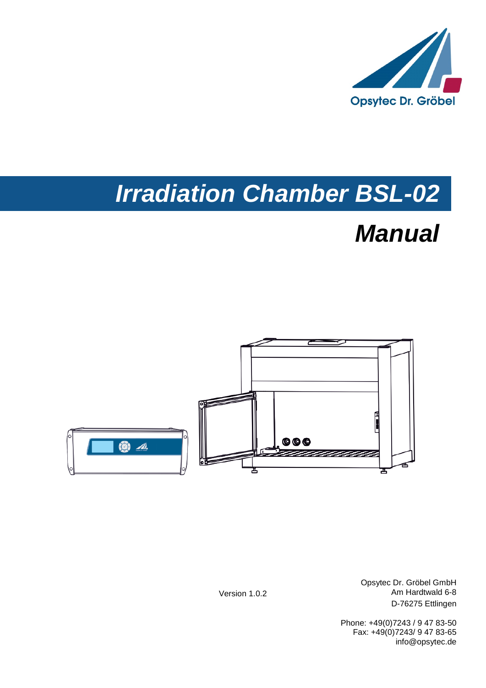

# *Irradiation Chamber BSL-02*

# *Manual*



Opsytec Dr. Gröbel GmbH Am Hardtwald 6-8 D-76275 Ettlingen

Phone: +49(0)7243 / 9 47 83-50 Fax: +49(0)7243/ 9 47 83-65 info@opsytec.de

Version 1.0.2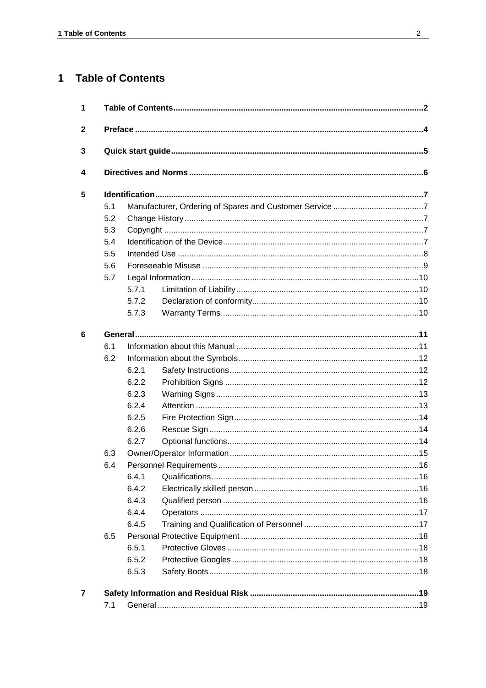#### **Table of Contents**  $\overline{1}$

| 1            |     |       |  |  |  |  |  |
|--------------|-----|-------|--|--|--|--|--|
| $\mathbf{2}$ |     |       |  |  |  |  |  |
| 3            |     |       |  |  |  |  |  |
| 4            |     |       |  |  |  |  |  |
| 5            |     |       |  |  |  |  |  |
|              | 5.1 |       |  |  |  |  |  |
|              | 5.2 |       |  |  |  |  |  |
|              | 5.3 |       |  |  |  |  |  |
|              | 5.4 |       |  |  |  |  |  |
|              | 5.5 |       |  |  |  |  |  |
|              | 5.6 |       |  |  |  |  |  |
|              | 5.7 |       |  |  |  |  |  |
|              |     | 5.7.1 |  |  |  |  |  |
|              |     | 5.7.2 |  |  |  |  |  |
|              |     | 5.7.3 |  |  |  |  |  |
| 6            |     |       |  |  |  |  |  |
|              | 6.1 |       |  |  |  |  |  |
|              | 6.2 |       |  |  |  |  |  |
|              |     | 6.2.1 |  |  |  |  |  |
|              |     | 6.2.2 |  |  |  |  |  |
|              |     | 6.2.3 |  |  |  |  |  |
|              |     | 6.2.4 |  |  |  |  |  |
|              |     | 6.2.5 |  |  |  |  |  |
|              |     | 6.2.6 |  |  |  |  |  |
|              |     | 6.2.7 |  |  |  |  |  |
|              | 6.3 |       |  |  |  |  |  |
|              | 6.4 |       |  |  |  |  |  |
|              |     | 6.4.1 |  |  |  |  |  |
|              |     | 6.4.2 |  |  |  |  |  |
|              |     | 6.4.3 |  |  |  |  |  |
|              |     | 6.4.4 |  |  |  |  |  |
|              |     | 6.4.5 |  |  |  |  |  |
|              | 6.5 |       |  |  |  |  |  |
|              |     | 6.5.1 |  |  |  |  |  |
|              |     | 6.5.2 |  |  |  |  |  |
|              |     | 6.5.3 |  |  |  |  |  |
| 7            |     |       |  |  |  |  |  |
|              | 7.1 |       |  |  |  |  |  |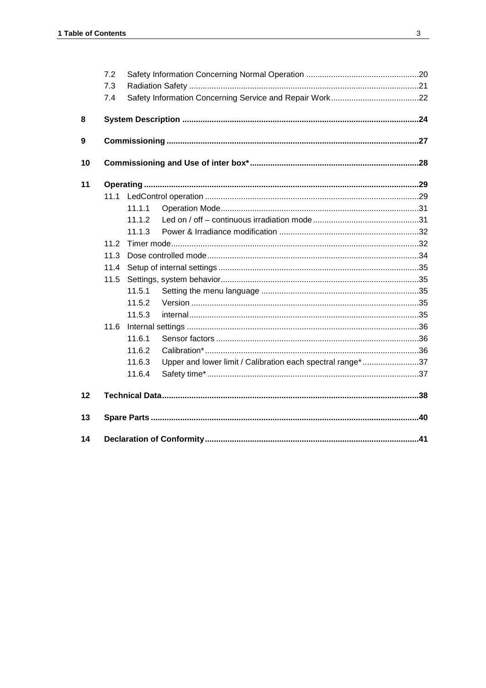|    | 7.2  |        |                                                            |  |
|----|------|--------|------------------------------------------------------------|--|
|    | 7.3  |        |                                                            |  |
|    | 7.4  |        |                                                            |  |
| 8  |      |        |                                                            |  |
| 9  |      |        |                                                            |  |
| 10 |      |        |                                                            |  |
| 11 |      |        |                                                            |  |
|    | 11.1 |        |                                                            |  |
|    |      | 11.1.1 |                                                            |  |
|    |      | 11.1.2 |                                                            |  |
|    |      | 11.1.3 |                                                            |  |
|    | 11.2 |        |                                                            |  |
|    | 11.3 |        |                                                            |  |
|    | 11.4 |        |                                                            |  |
|    | 11.5 |        |                                                            |  |
|    |      | 11.5.1 |                                                            |  |
|    |      | 11.5.2 |                                                            |  |
|    |      | 11.5.3 |                                                            |  |
|    | 11.6 |        |                                                            |  |
|    |      | 11.6.1 |                                                            |  |
|    |      | 11.6.2 |                                                            |  |
|    |      | 11.6.3 | Upper and lower limit / Calibration each spectral range*37 |  |
|    |      | 11.6.4 |                                                            |  |
| 12 |      |        |                                                            |  |
| 13 |      |        |                                                            |  |
| 14 |      |        |                                                            |  |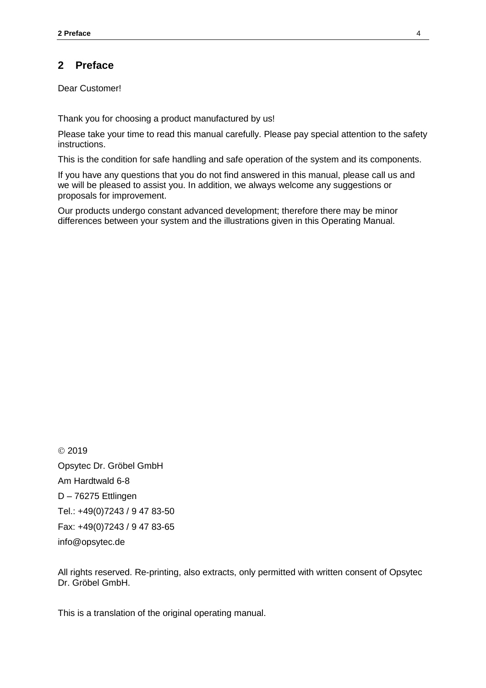## **2 Preface**

Dear Customer!

Thank you for choosing a product manufactured by us!

Please take your time to read this manual carefully. Please pay special attention to the safety instructions.

This is the condition for safe handling and safe operation of the system and its components.

If you have any questions that you do not find answered in this manual, please call us and we will be pleased to assist you. In addition, we always welcome any suggestions or proposals for improvement.

Our products undergo constant advanced development; therefore there may be minor differences between your system and the illustrations given in this Operating Manual.

© 2019 Opsytec Dr. Gröbel GmbH Am Hardtwald 6-8 D – 76275 Ettlingen Tel.: +49(0)7243 / 9 47 83-50 Fax: +49(0)7243 / 9 47 83-65 info@opsytec.de

All rights reserved. Re-printing, also extracts, only permitted with written consent of Opsytec Dr. Gröbel GmbH.

This is a translation of the original operating manual.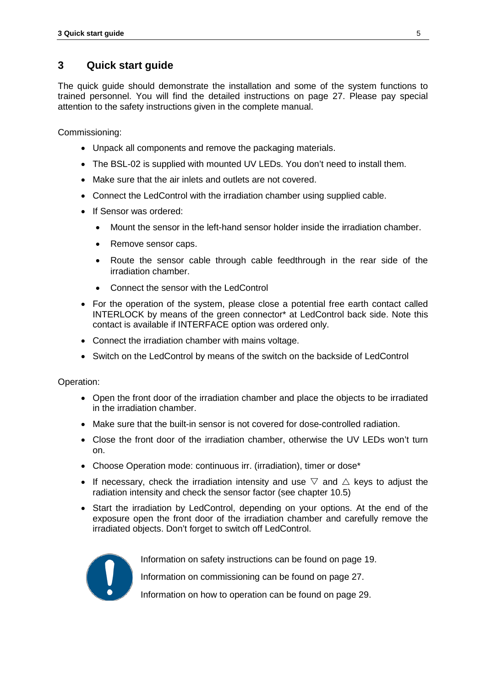## **3 Quick start guide**

The quick guide should demonstrate the installation and some of the system functions to trained personnel. You will find the detailed instructions on page [27.](#page-26-0) Please pay special attention to the safety instructions given in the complete manual.

Commissioning:

- Unpack all components and remove the packaging materials.
- The BSL-02 is supplied with mounted UV LEDs. You don't need to install them.
- Make sure that the air inlets and outlets are not covered.
- Connect the LedControl with the irradiation chamber using supplied cable.
- If Sensor was ordered:
	- Mount the sensor in the left-hand sensor holder inside the irradiation chamber.
	- Remove sensor caps.
	- Route the sensor cable through cable feedthrough in the rear side of the irradiation chamber.
	- Connect the sensor with the LedControl
- For the operation of the system, please close a potential free earth contact called INTERLOCK by means of the green connector\* at LedControl back side. Note this contact is available if INTERFACE option was ordered only.
- Connect the irradiation chamber with mains voltage.
- Switch on the LedControl by means of the switch on the backside of LedControl

Operation:

- Open the front door of the irradiation chamber and place the objects to be irradiated in the irradiation chamber.
- Make sure that the built-in sensor is not covered for dose-controlled radiation.
- Close the front door of the irradiation chamber, otherwise the UV LEDs won't turn on.
- Choose Operation mode: continuous irr. (irradiation), timer or dose\*
- If necessary, check the irradiation intensity and use  $\triangledown$  and  $\triangle$  keys to adjust the radiation intensity and check the sensor factor (see chapter [10.5\)](#page-34-0)
- Start the irradiation by LedControl, depending on your options. At the end of the exposure open the front door of the irradiation chamber and carefully remove the irradiated objects. Don't forget to switch off LedControl.



Information on safety instructions can be found on page [19.](#page-18-0)

Information on commissioning can be found on page [27.](#page-26-0)

Information on how to operation can be found on page [29.](#page-28-0)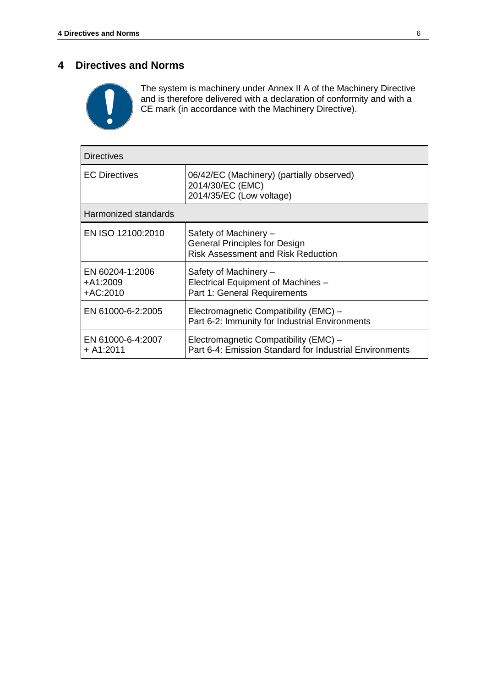### **4 Directives and Norms**



The system is machinery under Annex II A of the Machinery Directive and is therefore delivered with a declaration of conformity and with a CE mark (in accordance with the Machinery Directive).

| Directives                              |                                                                                                     |  |  |  |  |
|-----------------------------------------|-----------------------------------------------------------------------------------------------------|--|--|--|--|
| <b>EC Directives</b>                    | 06/42/EC (Machinery) (partially observed)<br>2014/30/EC (EMC)<br>2014/35/EC (Low voltage)           |  |  |  |  |
| Harmonized standards                    |                                                                                                     |  |  |  |  |
| EN ISO 12100:2010                       | Safety of Machinery -<br>General Principles for Design<br><b>Risk Assessment and Risk Reduction</b> |  |  |  |  |
| EN 60204-1:2006<br>+A1:2009<br>+AC:2010 | Safety of Machinery -<br>Electrical Equipment of Machines -<br>Part 1: General Requirements         |  |  |  |  |
| EN 61000-6-2:2005                       | Electromagnetic Compatibility (EMC) -<br>Part 6-2: Immunity for Industrial Environments             |  |  |  |  |
| EN 61000-6-4:2007<br>+ A1:2011          | Electromagnetic Compatibility (EMC) -<br>Part 6-4: Emission Standard for Industrial Environments    |  |  |  |  |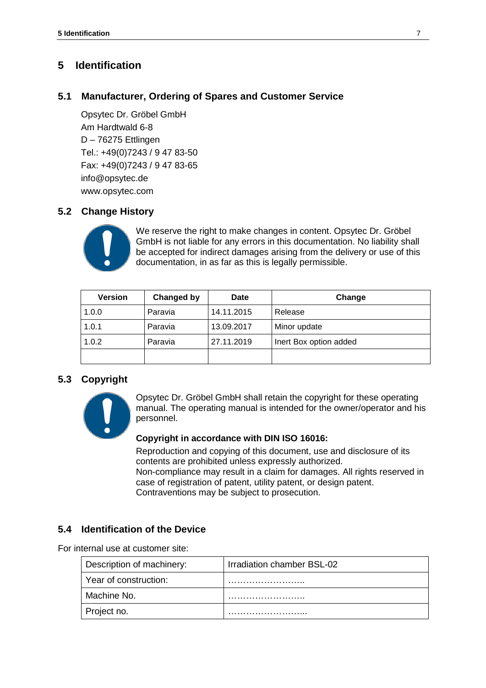## **5 Identification**

## **5.1 Manufacturer, Ordering of Spares and Customer Service**

Opsytec Dr. Gröbel GmbH Am Hardtwald 6-8 D – 76275 Ettlingen Tel.: +49(0)7243 / 9 47 83-50 Fax: +49(0)7243 / 9 47 83-65 info@opsytec.de www.opsytec.com

## **5.2 Change History**



We reserve the right to make changes in content. Opsytec Dr. Gröbel GmbH is not liable for any errors in this documentation. No liability shall be accepted for indirect damages arising from the delivery or use of this documentation, in as far as this is legally permissible.

| <b>Version</b> | Changed by | <b>Date</b> | Change                 |
|----------------|------------|-------------|------------------------|
| 1.0.0          | Paravia    | 14.11.2015  | Release                |
| 1.0.1          | Paravia    | 13.09.2017  | Minor update           |
| 1.0.2          | Paravia    | 27.11.2019  | Inert Box option added |
|                |            |             |                        |

## **5.3 Copyright**



Opsytec Dr. Gröbel GmbH shall retain the copyright for these operating manual. The operating manual is intended for the owner/operator and his personnel.

#### **Copyright in accordance with DIN ISO 16016:**

Reproduction and copying of this document, use and disclosure of its contents are prohibited unless expressly authorized. Non-compliance may result in a claim for damages. All rights reserved in case of registration of patent, utility patent, or design patent. Contraventions may be subject to prosecution.

## **5.4 Identification of the Device**

For internal use at customer site:

| Description of machinery: | Irradiation chamber BSL-02 |  |  |
|---------------------------|----------------------------|--|--|
| Year of construction:     |                            |  |  |
| Machine No.               |                            |  |  |
| Project no.               |                            |  |  |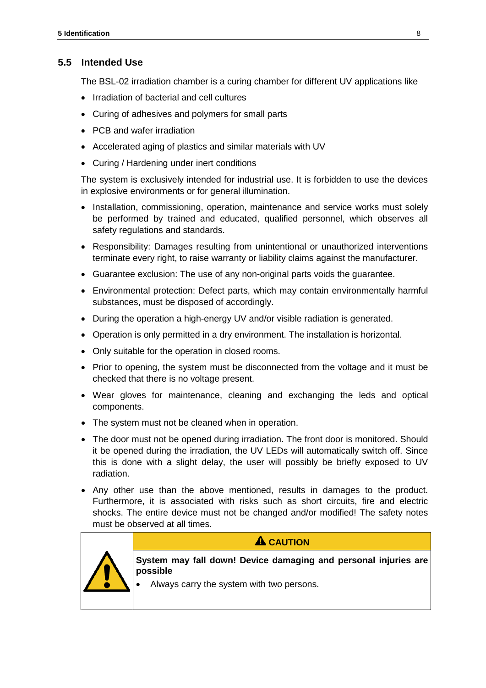## **5.5 Intended Use**

The BSL-02 irradiation chamber is a curing chamber for different UV applications like

- Irradiation of bacterial and cell cultures
- Curing of adhesives and polymers for small parts
- PCB and wafer irradiation
- Accelerated aging of plastics and similar materials with UV
- Curing / Hardening under inert conditions

The system is exclusively intended for industrial use. It is forbidden to use the devices in explosive environments or for general illumination.

- Installation, commissioning, operation, maintenance and service works must solely be performed by trained and educated, qualified personnel, which observes all safety regulations and standards.
- Responsibility: Damages resulting from unintentional or unauthorized interventions terminate every right, to raise warranty or liability claims against the manufacturer.
- Guarantee exclusion: The use of any non-original parts voids the guarantee.
- Environmental protection: Defect parts, which may contain environmentally harmful substances, must be disposed of accordingly.
- During the operation a high-energy UV and/or visible radiation is generated.
- Operation is only permitted in a dry environment. The installation is horizontal.
- Only suitable for the operation in closed rooms.
- Prior to opening, the system must be disconnected from the voltage and it must be checked that there is no voltage present.
- Wear gloves for maintenance, cleaning and exchanging the leds and optical components.
- The system must not be cleaned when in operation.
- The door must not be opened during irradiation. The front door is monitored. Should it be opened during the irradiation, the UV LEDs will automatically switch off. Since this is done with a slight delay, the user will possibly be briefly exposed to UV radiation.
- Any other use than the above mentioned, results in damages to the product. Furthermore, it is associated with risks such as short circuits, fire and electric shocks. The entire device must not be changed and/or modified! The safety notes must be observed at all times.



## **A** CAUTION

**System may fall down! Device damaging and personal injuries are possible**

• Always carry the system with two persons.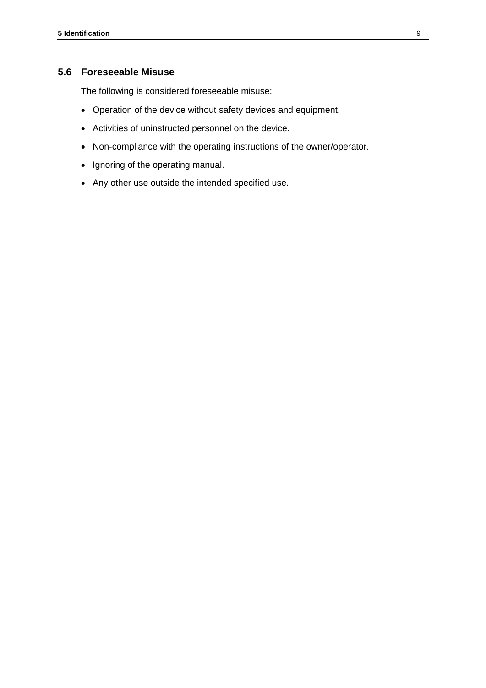### **5.6 Foreseeable Misuse**

The following is considered foreseeable misuse:

- Operation of the device without safety devices and equipment.
- Activities of uninstructed personnel on the device.
- Non-compliance with the operating instructions of the owner/operator.
- Ignoring of the operating manual.
- Any other use outside the intended specified use.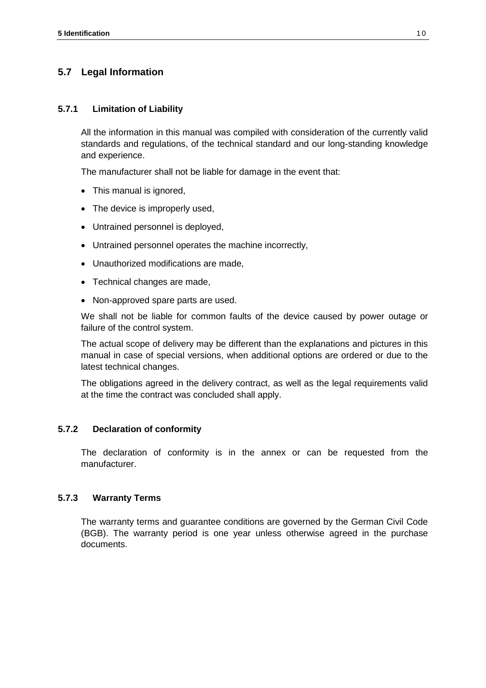## **5.7 Legal Information**

#### **5.7.1 Limitation of Liability**

All the information in this manual was compiled with consideration of the currently valid standards and regulations, of the technical standard and our long-standing knowledge and experience.

The manufacturer shall not be liable for damage in the event that:

- This manual is ignored,
- The device is improperly used,
- Untrained personnel is deployed,
- Untrained personnel operates the machine incorrectly,
- Unauthorized modifications are made,
- Technical changes are made,
- Non-approved spare parts are used.

We shall not be liable for common faults of the device caused by power outage or failure of the control system.

The actual scope of delivery may be different than the explanations and pictures in this manual in case of special versions, when additional options are ordered or due to the latest technical changes.

The obligations agreed in the delivery contract, as well as the legal requirements valid at the time the contract was concluded shall apply.

#### **5.7.2 Declaration of conformity**

The declaration of conformity is in the annex or can be requested from the manufacturer.

#### **5.7.3 Warranty Terms**

The warranty terms and guarantee conditions are governed by the German Civil Code (BGB). The warranty period is one year unless otherwise agreed in the purchase documents.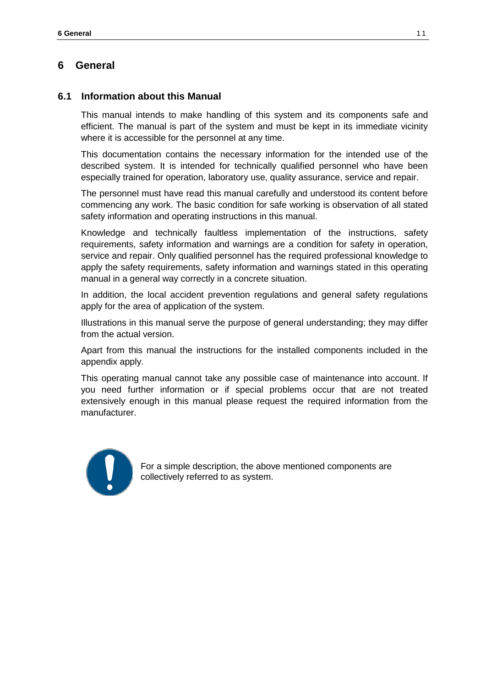## **6 General**

### **6.1 Information about this Manual**

This manual intends to make handling of this system and its components safe and efficient. The manual is part of the system and must be kept in its immediate vicinity where it is accessible for the personnel at any time.

This documentation contains the necessary information for the intended use of the described system. It is intended for technically qualified personnel who have been especially trained for operation, laboratory use, quality assurance, service and repair.

The personnel must have read this manual carefully and understood its content before commencing any work. The basic condition for safe working is observation of all stated safety information and operating instructions in this manual.

Knowledge and technically faultless implementation of the instructions, safety requirements, safety information and warnings are a condition for safety in operation, service and repair. Only qualified personnel has the required professional knowledge to apply the safety requirements, safety information and warnings stated in this operating manual in a general way correctly in a concrete situation.

In addition, the local accident prevention regulations and general safety regulations apply for the area of application of the system.

Illustrations in this manual serve the purpose of general understanding; they may differ from the actual version.

Apart from this manual the instructions for the installed components included in the appendix apply.

This operating manual cannot take any possible case of maintenance into account. If you need further information or if special problems occur that are not treated extensively enough in this manual please request the required information from the manufacturer.



For a simple description, the above mentioned components are collectively referred to as system.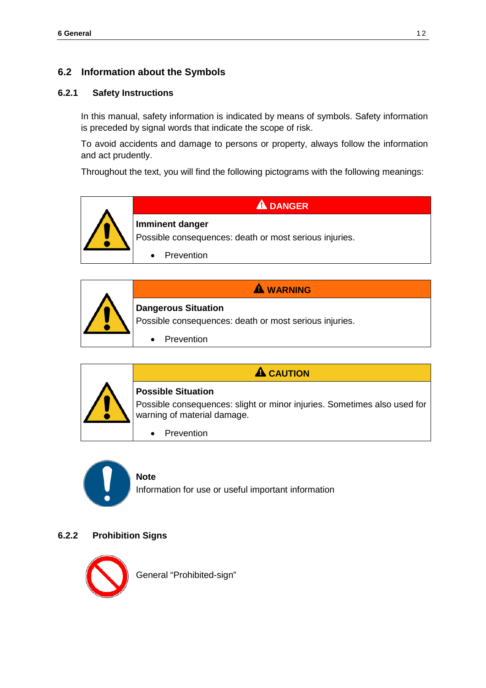## **6.2 Information about the Symbols**

#### **6.2.1 Safety Instructions**

In this manual, safety information is indicated by means of symbols. Safety information is preceded by signal words that indicate the scope of risk.

To avoid accidents and damage to persons or property, always follow the information and act prudently.

Throughout the text, you will find the following pictograms with the following meanings:







## **A** CAUTION

**Possible Situation** 

Possible consequences: slight or minor injuries. Sometimes also used for warning of material damage.

• Prevention



### **Note**

Information for use or useful important information

#### **6.2.2 Prohibition Signs**

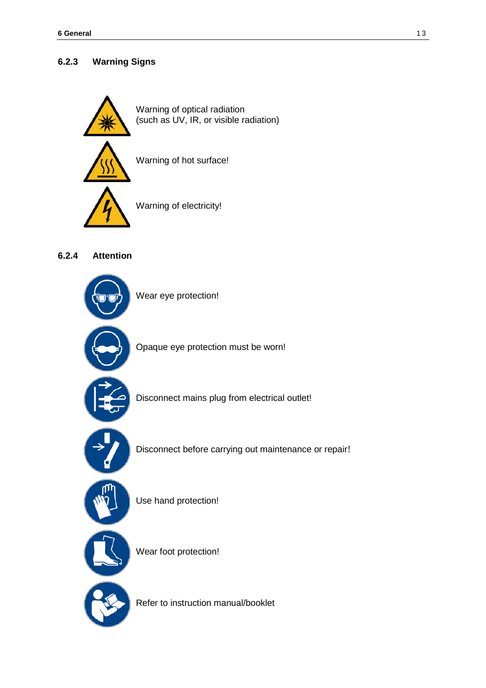## **6.2.3 Warning Signs**



## **6.2.4 Attention**



Refer to instruction manual/booklet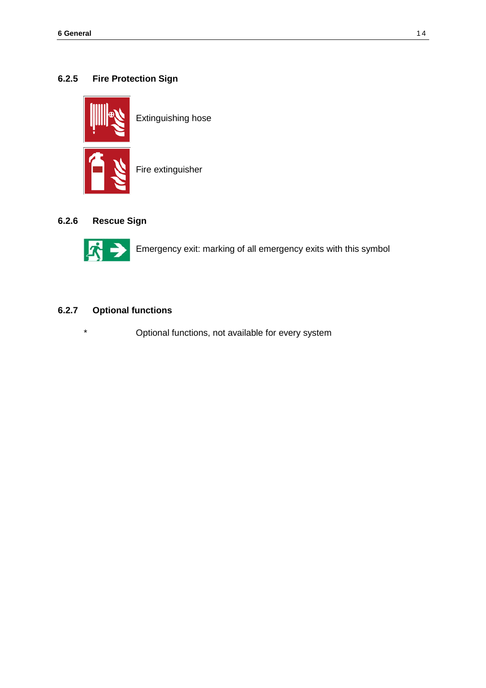## **6.2.5 Fire Protection Sign**



Extinguishing hose

Fire extinguisher

## **6.2.6 Rescue Sign**



Emergency exit: marking of all emergency exits with this symbol

## **6.2.7 Optional functions**

\* Optional functions, not available for every system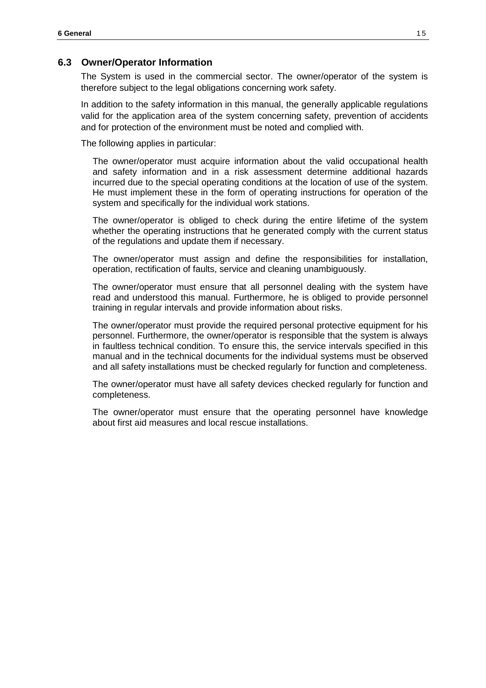#### **6.3 Owner/Operator Information**

The System is used in the commercial sector. The owner/operator of the system is therefore subject to the legal obligations concerning work safety.

In addition to the safety information in this manual, the generally applicable regulations valid for the application area of the system concerning safety, prevention of accidents and for protection of the environment must be noted and complied with.

The following applies in particular:

The owner/operator must acquire information about the valid occupational health and safety information and in a risk assessment determine additional hazards incurred due to the special operating conditions at the location of use of the system. He must implement these in the form of operating instructions for operation of the system and specifically for the individual work stations.

The owner/operator is obliged to check during the entire lifetime of the system whether the operating instructions that he generated comply with the current status of the regulations and update them if necessary.

The owner/operator must assign and define the responsibilities for installation, operation, rectification of faults, service and cleaning unambiguously.

The owner/operator must ensure that all personnel dealing with the system have read and understood this manual. Furthermore, he is obliged to provide personnel training in regular intervals and provide information about risks.

The owner/operator must provide the required personal protective equipment for his personnel. Furthermore, the owner/operator is responsible that the system is always in faultless technical condition. To ensure this, the service intervals specified in this manual and in the technical documents for the individual systems must be observed and all safety installations must be checked regularly for function and completeness.

The owner/operator must have all safety devices checked regularly for function and completeness.

The owner/operator must ensure that the operating personnel have knowledge about first aid measures and local rescue installations.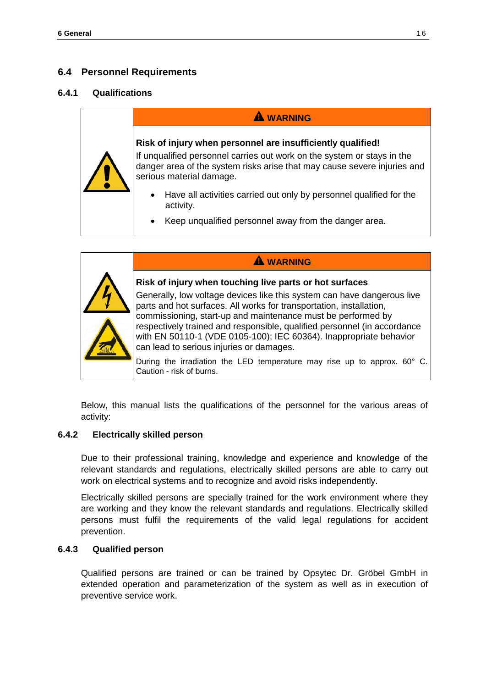## **6.4 Personnel Requirements**

#### **6.4.1 Qualifications**

# **WARNING**

## **Risk of injury when personnel are insufficiently qualified!**

If unqualified personnel carries out work on the system or stays in the danger area of the system risks arise that may cause severe injuries and serious material damage.

- Have all activities carried out only by personnel qualified for the activity.
- Keep unqualified personnel away from the danger area.



Generally, low voltage devices like this system can have dangerous live parts and hot surfaces. All works for transportation, installation, commissioning, start-up and maintenance must be performed by respectively trained and responsible, qualified personnel (in accordance with EN 50110-1 (VDE 0105-100); IEC 60364). Inappropriate behavior can lead to serious injuries or damages.

**WARNING**

During the irradiation the LED temperature may rise up to approx. 60° C. Caution - risk of burns.

Below, this manual lists the qualifications of the personnel for the various areas of activity:

#### **6.4.2 Electrically skilled person**

Due to their professional training, knowledge and experience and knowledge of the relevant standards and regulations, electrically skilled persons are able to carry out work on electrical systems and to recognize and avoid risks independently.

Electrically skilled persons are specially trained for the work environment where they are working and they know the relevant standards and regulations. Electrically skilled persons must fulfil the requirements of the valid legal regulations for accident prevention.

#### **6.4.3 Qualified person**

Qualified persons are trained or can be trained by Opsytec Dr. Gröbel GmbH in extended operation and parameterization of the system as well as in execution of preventive service work.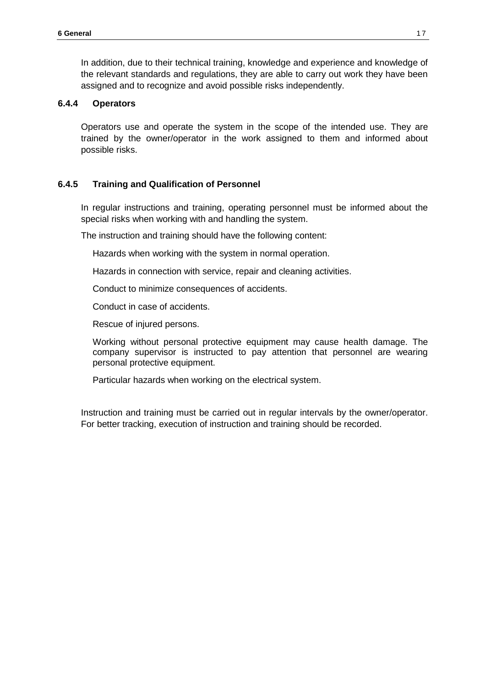In addition, due to their technical training, knowledge and experience and knowledge of the relevant standards and regulations, they are able to carry out work they have been assigned and to recognize and avoid possible risks independently.

#### **6.4.4 Operators**

Operators use and operate the system in the scope of the intended use. They are trained by the owner/operator in the work assigned to them and informed about possible risks.

#### **6.4.5 Training and Qualification of Personnel**

In regular instructions and training, operating personnel must be informed about the special risks when working with and handling the system.

The instruction and training should have the following content:

Hazards when working with the system in normal operation.

Hazards in connection with service, repair and cleaning activities.

Conduct to minimize consequences of accidents.

Conduct in case of accidents.

Rescue of injured persons.

Working without personal protective equipment may cause health damage. The company supervisor is instructed to pay attention that personnel are wearing personal protective equipment.

Particular hazards when working on the electrical system.

Instruction and training must be carried out in regular intervals by the owner/operator. For better tracking, execution of instruction and training should be recorded.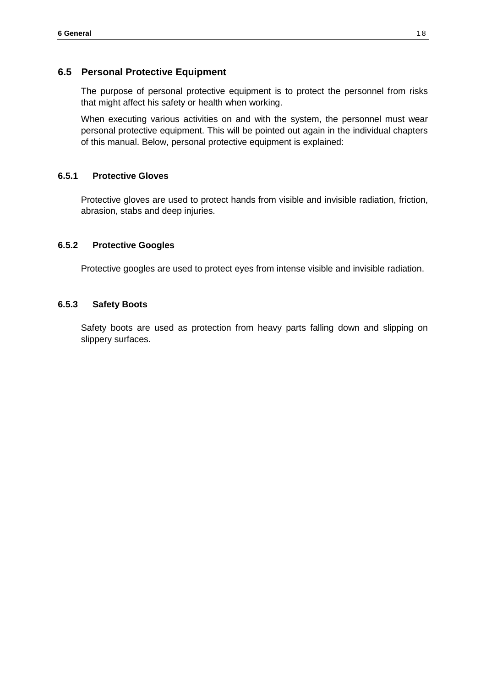## **6.5 Personal Protective Equipment**

The purpose of personal protective equipment is to protect the personnel from risks that might affect his safety or health when working.

When executing various activities on and with the system, the personnel must wear personal protective equipment. This will be pointed out again in the individual chapters of this manual. Below, personal protective equipment is explained:

#### **6.5.1 Protective Gloves**

Protective gloves are used to protect hands from visible and invisible radiation, friction, abrasion, stabs and deep injuries.

### **6.5.2 Protective Googles**

Protective googles are used to protect eyes from intense visible and invisible radiation.

#### **6.5.3 Safety Boots**

Safety boots are used as protection from heavy parts falling down and slipping on slippery surfaces.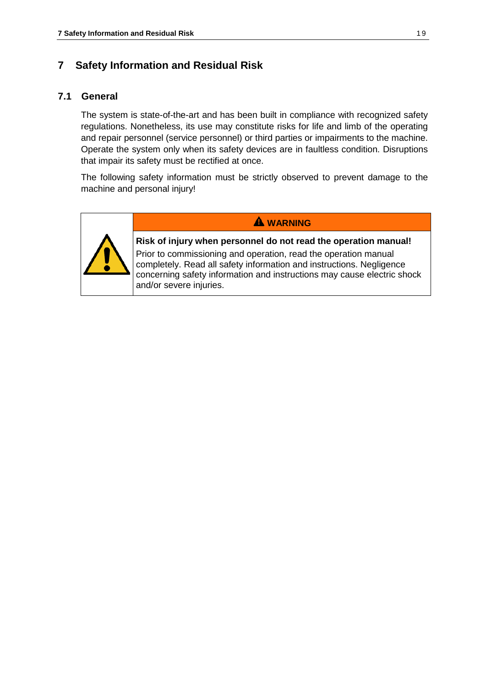## <span id="page-18-0"></span>**7 Safety Information and Residual Risk**

## **7.1 General**

The system is state-of-the-art and has been built in compliance with recognized safety regulations. Nonetheless, its use may constitute risks for life and limb of the operating and repair personnel (service personnel) or third parties or impairments to the machine. Operate the system only when its safety devices are in faultless condition. Disruptions that impair its safety must be rectified at once.

The following safety information must be strictly observed to prevent damage to the machine and personal injury!



**WARNING**

**Risk of injury when personnel do not read the operation manual!** Prior to commissioning and operation, read the operation manual completely. Read all safety information and instructions. Negligence

concerning safety information and instructions may cause electric shock and/or severe injuries.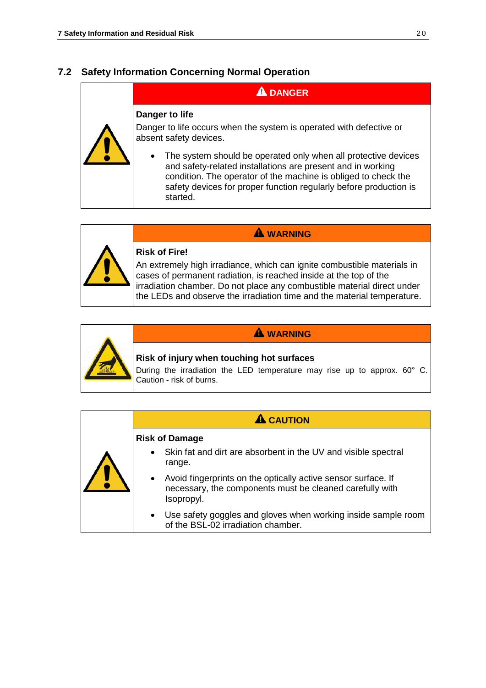## **7.2 Safety Information Concerning Normal Operation**

# **A** DANGER

#### **Danger to life**

Danger to life occurs when the system is operated with defective or absent safety devices.

The system should be operated only when all protective devices and safety-related installations are present and in working condition. The operator of the machine is obliged to check the safety devices for proper function regularly before production is started.



#### **Risk of Fire!**

An extremely high irradiance, which can ignite combustible materials in cases of permanent radiation, is reached inside at the top of the irradiation chamber. Do not place any combustible material direct under the LEDs and observe the irradiation time and the material temperature.

**WARNING**



### **WARNING**

#### **Risk of injury when touching hot surfaces**

During the irradiation the LED temperature may rise up to approx. 60° C. Caution - risk of burns.

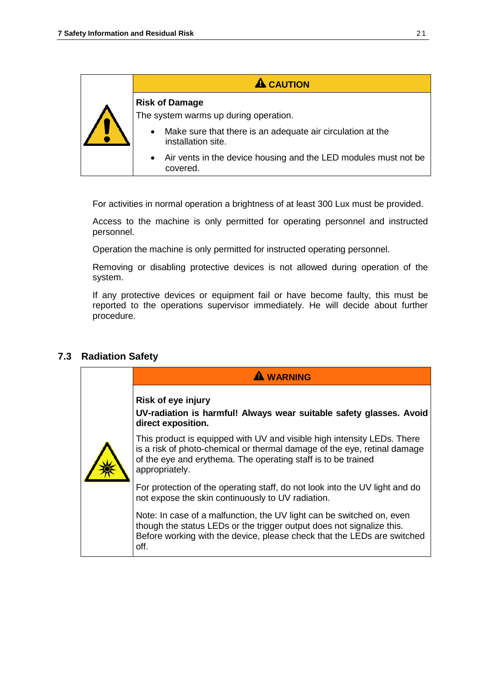| <b>A</b> CAUTION                                                                              |
|-----------------------------------------------------------------------------------------------|
| <b>Risk of Damage</b><br>The system warms up during operation.                                |
| Make sure that there is an adequate air circulation at the<br>$\bullet$<br>installation site. |
| Air vents in the device housing and the LED modules must not be<br>$\bullet$<br>covered.      |

For activities in normal operation a brightness of at least 300 Lux must be provided.

Access to the machine is only permitted for operating personnel and instructed personnel.

Operation the machine is only permitted for instructed operating personnel.

Removing or disabling protective devices is not allowed during operation of the system.

If any protective devices or equipment fail or have become faulty, this must be reported to the operations supervisor immediately. He will decide about further procedure.

## **7.3 Radiation Safety**

| <b>WARNING</b>                                                                                                                                                                                                                         |
|----------------------------------------------------------------------------------------------------------------------------------------------------------------------------------------------------------------------------------------|
| <b>Risk of eye injury</b><br>UV-radiation is harmful! Always wear suitable safety glasses. Avoid<br>direct exposition.                                                                                                                 |
| This product is equipped with UV and visible high intensity LEDs. There<br>is a risk of photo-chemical or thermal damage of the eye, retinal damage<br>of the eye and erythema. The operating staff is to be trained<br>appropriately. |
| For protection of the operating staff, do not look into the UV light and do<br>not expose the skin continuously to UV radiation.                                                                                                       |
| Note: In case of a malfunction, the UV light can be switched on, even<br>though the status LEDs or the trigger output does not signalize this.<br>Before working with the device, please check that the LEDs are switched<br>off.      |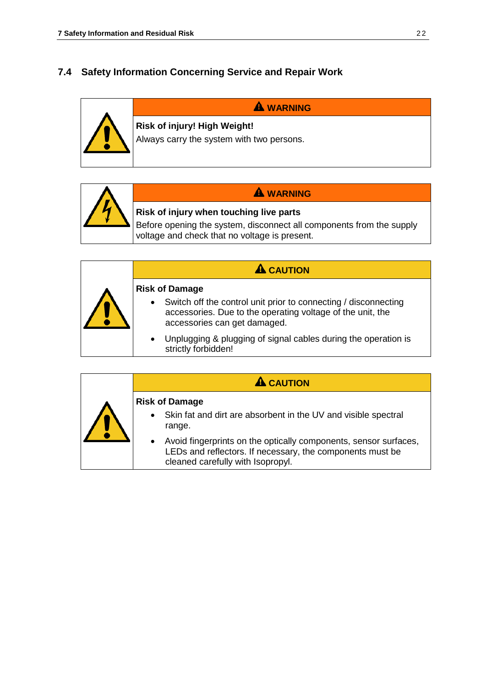## **7.4 Safety Information Concerning Service and Repair Work**





# **WARNING**

# **Risk of injury when touching live parts**

Before opening the system, disconnect all components from the supply voltage and check that no voltage is present.

|  | <b>CAUTION</b>                                                                                                                                                             |
|--|----------------------------------------------------------------------------------------------------------------------------------------------------------------------------|
|  | <b>Risk of Damage</b>                                                                                                                                                      |
|  | Switch off the control unit prior to connecting / disconnecting<br>$\bullet$<br>accessories. Due to the operating voltage of the unit, the<br>accessories can get damaged. |
|  | Unplugging & plugging of signal cables during the operation is<br>$\bullet$<br>strictly forbidden!                                                                         |

| <b>A</b> CAUTION                                                                                                                                                                |
|---------------------------------------------------------------------------------------------------------------------------------------------------------------------------------|
| <b>Risk of Damage</b><br>Skin fat and dirt are absorbent in the UV and visible spectral<br>$\bullet$<br>range.                                                                  |
| Avoid fingerprints on the optically components, sensor surfaces,<br>$\bullet$<br>LEDs and reflectors. If necessary, the components must be<br>cleaned carefully with Isopropyl. |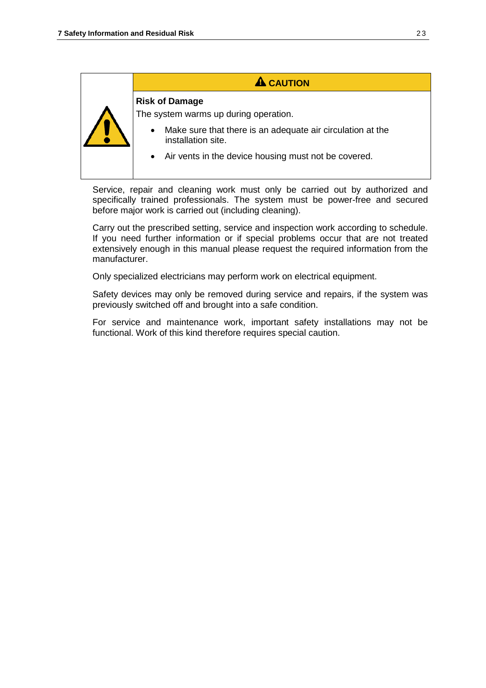## **A** CAUTION

#### **Risk of Damage**

The system warms up during operation.

- Make sure that there is an adequate air circulation at the installation site.
- Air vents in the device housing must not be covered.

Service, repair and cleaning work must only be carried out by authorized and specifically trained professionals. The system must be power-free and secured before major work is carried out (including cleaning).

Carry out the prescribed setting, service and inspection work according to schedule. If you need further information or if special problems occur that are not treated extensively enough in this manual please request the required information from the manufacturer.

Only specialized electricians may perform work on electrical equipment.

Safety devices may only be removed during service and repairs, if the system was previously switched off and brought into a safe condition.

For service and maintenance work, important safety installations may not be functional. Work of this kind therefore requires special caution.

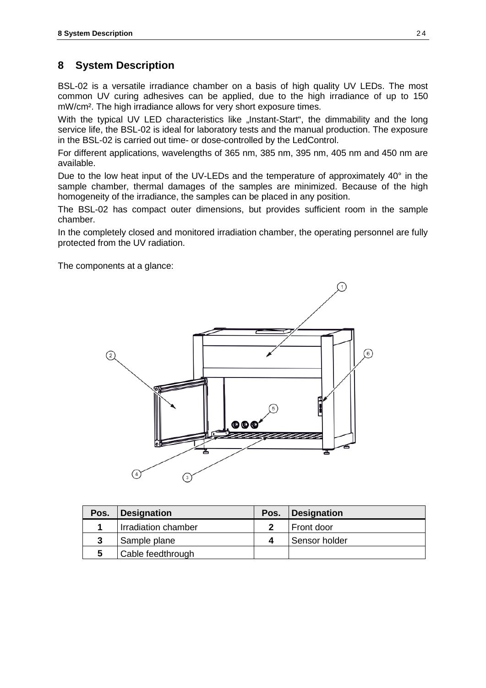## **8 System Description**

BSL-02 is a versatile irradiance chamber on a basis of high quality UV LEDs. The most common UV curing adhesives can be applied, due to the high irradiance of up to 150 mW/cm². The high irradiance allows for very short exposure times.

With the typical UV LED characteristics like "Instant-Start", the dimmability and the long service life, the BSL-02 is ideal for laboratory tests and the manual production. The exposure in the BSL-02 is carried out time- or dose-controlled by the LedControl.

For different applications, wavelengths of 365 nm, 385 nm, 395 nm, 405 nm and 450 nm are available.

Due to the low heat input of the UV-LEDs and the temperature of approximately 40° in the sample chamber, thermal damages of the samples are minimized. Because of the high homogeneity of the irradiance, the samples can be placed in any position.

The BSL-02 has compact outer dimensions, but provides sufficient room in the sample chamber.

In the completely closed and monitored irradiation chamber, the operating personnel are fully protected from the UV radiation.

The components at a glance:



| Pos. | Designation         | Pos. | Designation   |
|------|---------------------|------|---------------|
|      | Irradiation chamber |      | Front door    |
| 3    | Sample plane        |      | Sensor holder |
|      | Cable feedthrough   |      |               |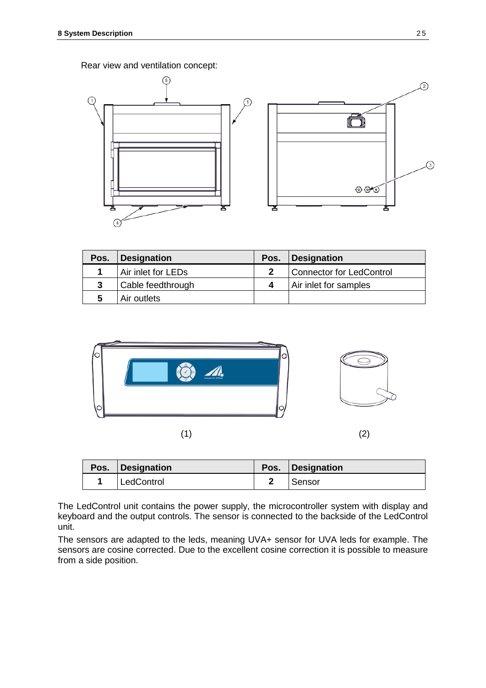Rear view and ventilation concept:



| Pos. | Designation        | Pos. Designation         |
|------|--------------------|--------------------------|
|      | Air inlet for LEDs | Connector for LedControl |
| 3    | Cable feedthrough  | Air inlet for samples    |
| 5    | Air outlets        |                          |



 $(1)$  (2)

| Pos. | Designation | Pos. Designation |
|------|-------------|------------------|
|      | LedControl  | Sensor           |

The LedControl unit contains the power supply, the microcontroller system with display and keyboard and the output controls. The sensor is connected to the backside of the LedControl unit.

The sensors are adapted to the leds, meaning UVA+ sensor for UVA leds for example. The sensors are cosine corrected. Due to the excellent cosine correction it is possible to measure from a side position.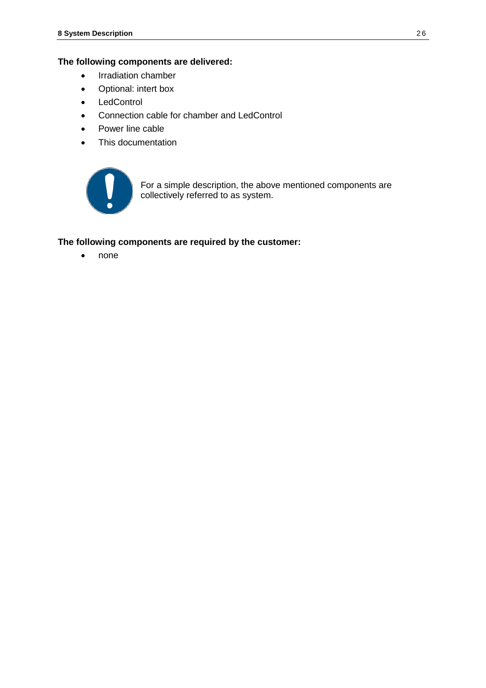#### **The following components are delivered:**

- Irradiation chamber
- Optional: intert box
- LedControl
- Connection cable for chamber and LedControl
- Power line cable
- This documentation



For a simple description, the above mentioned components are collectively referred to as system.

#### **The following components are required by the customer:**

• none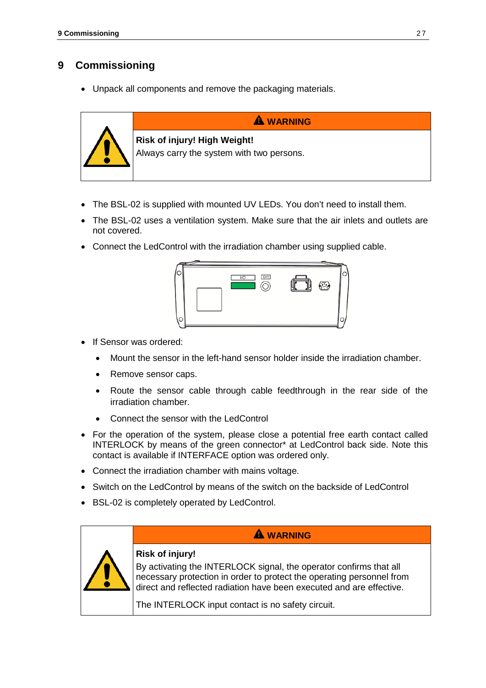# <span id="page-26-0"></span>**9 Commissioning**

• Unpack all components and remove the packaging materials.



- The BSL-02 is supplied with mounted UV LEDs. You don't need to install them.
- The BSL-02 uses a ventilation system. Make sure that the air inlets and outlets are not covered.
- Connect the LedControl with the irradiation chamber using supplied cable.



- If Sensor was ordered:
	- Mount the sensor in the left-hand sensor holder inside the irradiation chamber.
	- Remove sensor caps.
	- Route the sensor cable through cable feedthrough in the rear side of the irradiation chamber.
	- Connect the sensor with the LedControl
- For the operation of the system, please close a potential free earth contact called INTERLOCK by means of the green connector\* at LedControl back side. Note this contact is available if INTERFACE option was ordered only.
- Connect the irradiation chamber with mains voltage.
- Switch on the LedControl by means of the switch on the backside of LedControl
- BSL-02 is completely operated by LedControl.



## **WARNING**

## **Risk of injury!**

By activating the INTERLOCK signal, the operator confirms that all necessary protection in order to protect the operating personnel from direct and reflected radiation have been executed and are effective.

The INTERLOCK input contact is no safety circuit.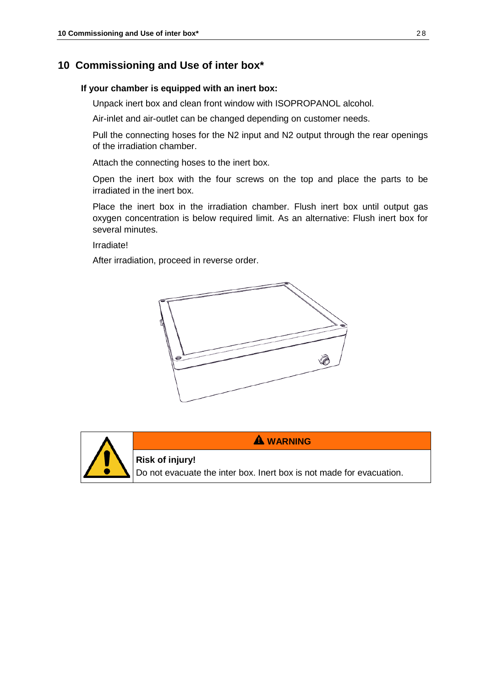## **10 Commissioning and Use of inter box\***

#### **If your chamber is equipped with an inert box:**

Unpack inert box and clean front window with ISOPROPANOL alcohol.

Air-inlet and air-outlet can be changed depending on customer needs.

Pull the connecting hoses for the N2 input and N2 output through the rear openings of the irradiation chamber.

Attach the connecting hoses to the inert box.

Open the inert box with the four screws on the top and place the parts to be irradiated in the inert box.

Place the inert box in the irradiation chamber. Flush inert box until output gas oxygen concentration is below required limit. As an alternative: Flush inert box for several minutes.

Irradiate!

After irradiation, proceed in reverse order.

**Risk of injury!**





**WARNING**

Do not evacuate the inter box. Inert box is not made for evacuation.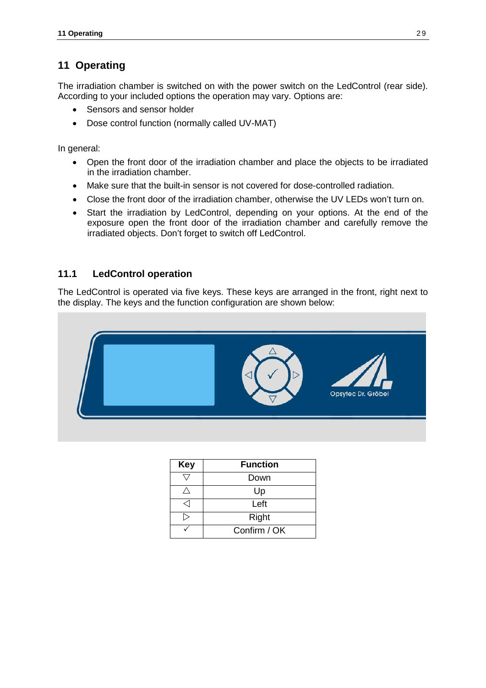# <span id="page-28-0"></span>**11 Operating**

The irradiation chamber is switched on with the power switch on the LedControl (rear side). According to your included options the operation may vary. Options are:

- Sensors and sensor holder
- Dose control function (normally called UV-MAT)

In general:

- Open the front door of the irradiation chamber and place the objects to be irradiated in the irradiation chamber.
- Make sure that the built-in sensor is not covered for dose-controlled radiation.
- Close the front door of the irradiation chamber, otherwise the UV LEDs won't turn on.
- Start the irradiation by LedControl, depending on your options. At the end of the exposure open the front door of the irradiation chamber and carefully remove the irradiated objects. Don't forget to switch off LedControl.

## **11.1 LedControl operation**

The LedControl is operated via five keys. These keys are arranged in the front, right next to the display. The keys and the function configuration are shown below:



| <b>Key</b> | <b>Function</b> |
|------------|-----------------|
|            | Down            |
|            | Up              |
|            | Left            |
|            | Right           |
|            | Confirm / OK    |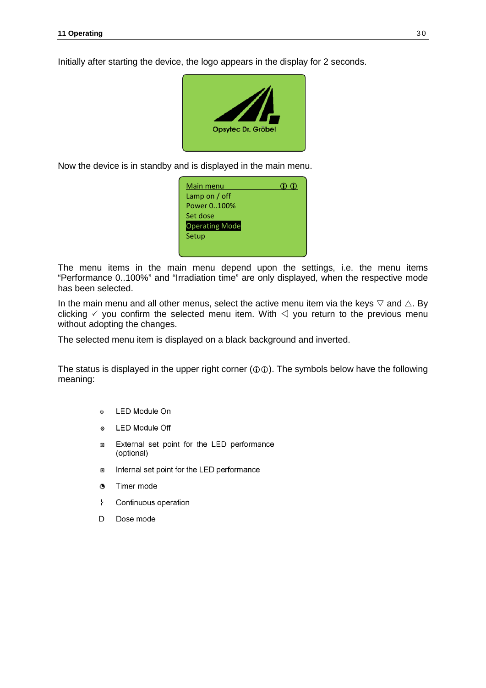Initially after starting the device, the logo appears in the display for 2 seconds.



Now the device is in standby and is displayed in the main menu.

| Main menu             |  |
|-----------------------|--|
| Lamp on $/$ off       |  |
| Power 0100%           |  |
| Set dose              |  |
| <b>Operating Mode</b> |  |
| Setup                 |  |
|                       |  |
|                       |  |

The menu items in the main menu depend upon the settings, i.e. the menu items "Performance 0..100%" and "Irradiation time" are only displayed, when the respective mode has been selected.

In the main menu and all other menus, select the active menu item via the keys  $\triangledown$  and  $\triangle$ . By clicking  $\checkmark$  you confirm the selected menu item. With  $\checkmark$  you return to the previous menu without adopting the changes.

The selected menu item is displayed on a black background and inverted.

The status is displayed in the upper right corner ( $\mathcal{D}(\mathcal{D})$ ). The symbols below have the following meaning:

- LED Module On  $\phi$
- **LED Module Off**  $\odot$
- External set point for the LED performance Ð (optional)
- Internal set point for the LED performance  $\blacksquare$
- $^{\circ}$ Timer mode
- Ł Continuous operation
- D Dose mode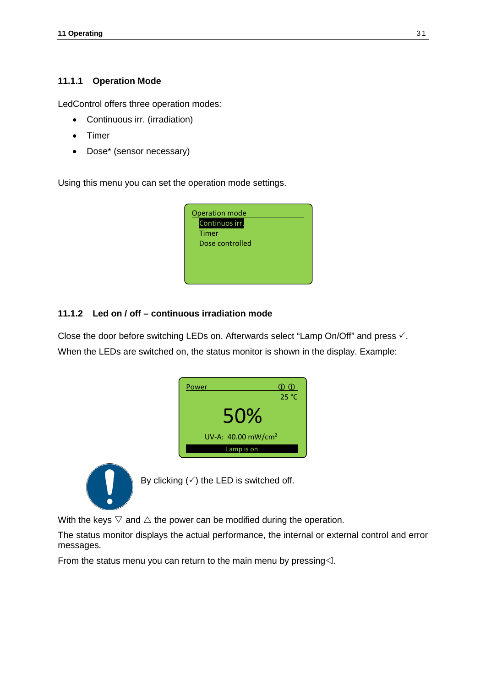#### **11.1.1 Operation Mode**

LedControl offers three operation modes:

- Continuous irr. (irradiation)
- Timer
- Dose\* (sensor necessary)

Using this menu you can set the operation mode settings.



#### **11.1.2 Led on / off – continuous irradiation mode**

Close the door before switching LEDs on. Afterwards select "Lamp On/Off" and press  $\checkmark$ . When the LEDs are switched on, the status monitor is shown in the display. Example:

| Power                          | 00<br>25 °C |
|--------------------------------|-------------|
| 50%                            |             |
| UV-A: 40.00 mW/cm <sup>2</sup> |             |
| Lamp is on                     |             |



By clicking  $(\checkmark)$  the LED is switched off.

With the keys  $\triangledown$  and  $\triangle$  the power can be modified during the operation.

The status monitor displays the actual performance, the internal or external control and error messages.

From the status menu you can return to the main menu by pressing $\triangle$ .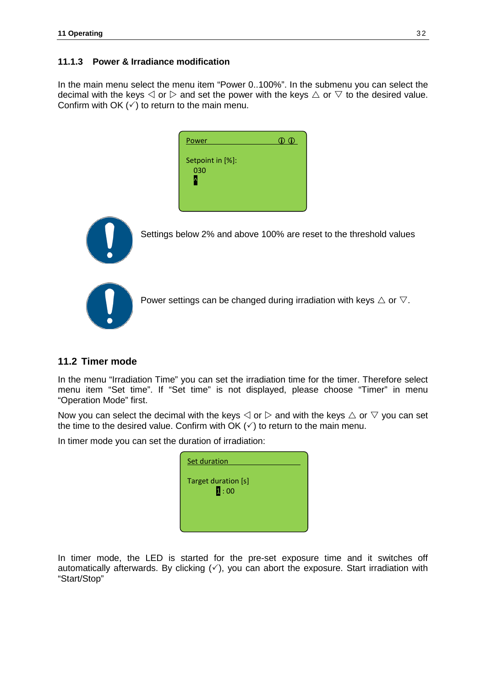#### **11.1.3 Power & Irradiance modification**

In the main menu select the menu item "Power 0..100%". In the submenu you can select the decimal with the keys  $\triangle$  or  $\triangleright$  and set the power with the keys  $\triangle$  or  $\triangledown$  to the desired value. Confirm with OK  $(\checkmark)$  to return to the main menu.

| Power                   | $\oplus$ $\oplus$ |
|-------------------------|-------------------|
| Setpoint in [%]:<br>030 |                   |



Settings below 2% and above 100% are reset to the threshold values



Power settings can be changed during irradiation with keys  $\triangle$  or  $\nabla$ .

#### **11.2 Timer mode**

In the menu "Irradiation Time" you can set the irradiation time for the timer. Therefore select menu item "Set time". If "Set time" is not displayed, please choose "Timer" in menu "Operation Mode" first.

Now you can select the decimal with the keys  $\triangle$  or  $\triangleright$  and with the keys  $\triangle$  or  $\triangledown$  you can set the time to the desired value. Confirm with  $\overrightarrow{OK}$  ( $\checkmark$ ) to return to the main menu.

In timer mode you can set the duration of irradiation:

| Set duration                             |
|------------------------------------------|
| Target duration [s]<br>$\mathbf{1:}\ 00$ |
|                                          |

In timer mode, the LED is started for the pre-set exposure time and it switches off automatically afterwards. By clicking  $(\checkmark)$ , you can abort the exposure. Start irradiation with "Start/Stop"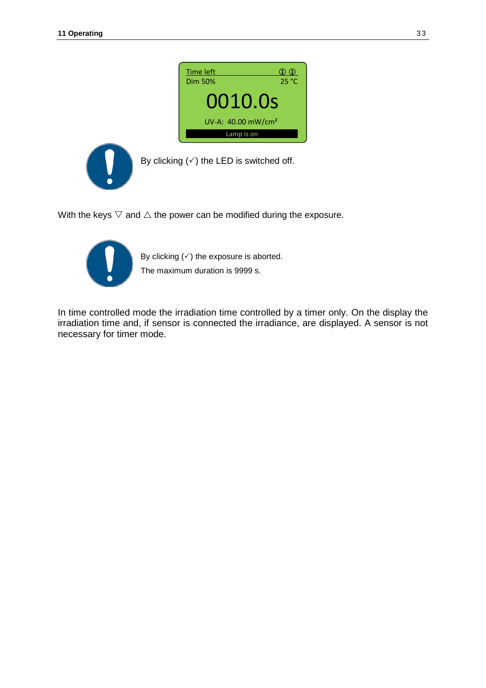



By clicking  $(\check{\\})$  the LED is switched off.

With the keys  $\nabla$  and  $\Delta$  the power can be modified during the exposure.



By clicking  $(\checkmark)$  the exposure is aborted. The maximum duration is 9999 s.

In time controlled mode the irradiation time controlled by a timer only. On the display the irradiation time and, if sensor is connected the irradiance, are displayed. A sensor is not necessary for timer mode.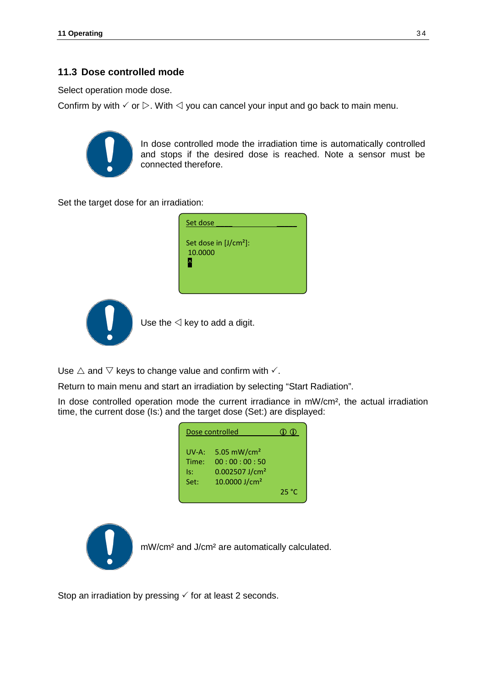## **11.3 Dose controlled mode**

Select operation mode dose.

Confirm by with  $\check{\phantom{1}}$  or  $\triangleright$ . With  $\triangleleft$  you can cancel your input and go back to main menu.



In dose controlled mode the irradiation time is automatically controlled and stops if the desired dose is reached. Note a sensor must be connected therefore.

Set the target dose for an irradiation:





Use the  $\triangleleft$  key to add a digit.

Use  $\triangle$  and  $\nabla$  keys to change value and confirm with  $\checkmark$ .

Return to main menu and start an irradiation by selecting "Start Radiation".

In dose controlled operation mode the current irradiance in mW/cm<sup>2</sup>, the actual irradiation time, the current dose (Is:) and the target dose (Set:) are displayed:

| Dose controlled               |                                                                                           | 6 G G |
|-------------------------------|-------------------------------------------------------------------------------------------|-------|
| UV-A:<br>Time:<br>ls:<br>Set: | 5.05 $mW/cm2$<br>00:00:00:50<br>$0.002507$ J/cm <sup>2</sup><br>10.0000 J/cm <sup>2</sup> | 25 °C |



mW/cm² and J/cm² are automatically calculated.

Stop an irradiation by pressing  $\checkmark$  for at least 2 seconds.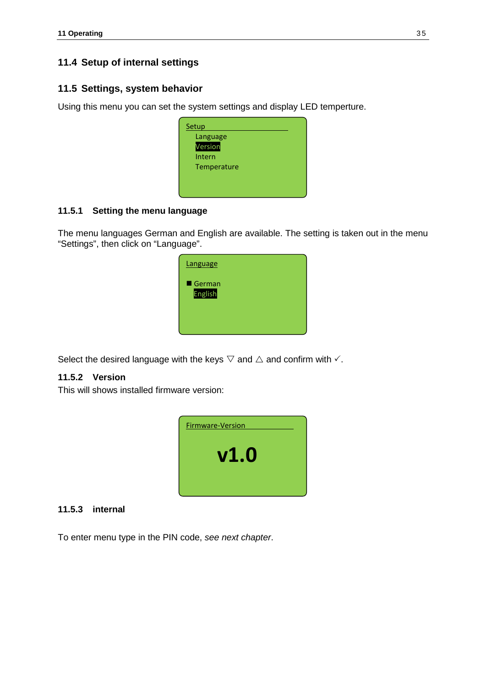## **11.4 Setup of internal settings**

## **11.5 Settings, system behavior**

Using this menu you can set the system settings and display LED temperture.

| Setup       |  |
|-------------|--|
| Language    |  |
| Version     |  |
| Intern      |  |
| Temperature |  |
|             |  |
|             |  |

#### **11.5.1 Setting the menu language**

The menu languages German and English are available. The setting is taken out in the menu "Settings", then click on "Language".

| Language          |  |
|-------------------|--|
| German<br>English |  |
|                   |  |

Select the desired language with the keys  $\triangledown$  and  $\triangle$  and confirm with  $\checkmark$ .

### **11.5.2 Version**

This will shows installed firmware version:



#### **11.5.3 internal**

<span id="page-34-0"></span>To enter menu type in the PIN code, *see next chapter*.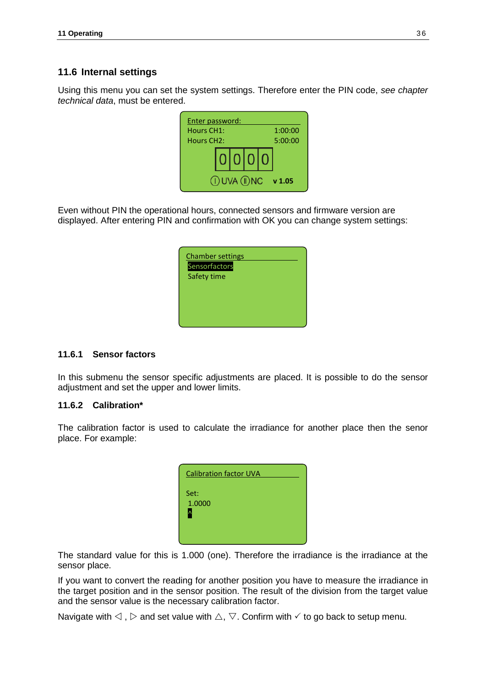#### **11.6 Internal settings**

Using this menu you can set the system settings. Therefore enter the PIN code, *see chapter technical data*, must be entered.



Even without PIN the operational hours, connected sensors and firmware version are displayed. After entering PIN and confirmation with OK you can change system settings:

| <b>Chamber settings</b> |  |
|-------------------------|--|
| Sensorfactors           |  |
| Safety time             |  |
|                         |  |
|                         |  |
|                         |  |
|                         |  |

#### **11.6.1 Sensor factors**

In this submenu the sensor specific adjustments are placed. It is possible to do the sensor adjustment and set the upper and lower limits.

#### **11.6.2 Calibration\***

The calibration factor is used to calculate the irradiance for another place then the senor place. For example:

| <b>Calibration factor UVA</b> |  |
|-------------------------------|--|
| Set:<br>1.0000<br>Δ           |  |
|                               |  |

The standard value for this is 1.000 (one). Therefore the irradiance is the irradiance at the sensor place.

If you want to convert the reading for another position you have to measure the irradiance in the target position and in the sensor position. The result of the division from the target value and the sensor value is the necessary calibration factor.

Navigate with  $\triangleleft$ ,  $\triangleright$  and set value with  $\triangle$ ,  $\triangledown$ . Confirm with  $\checkmark$  to go back to setup menu.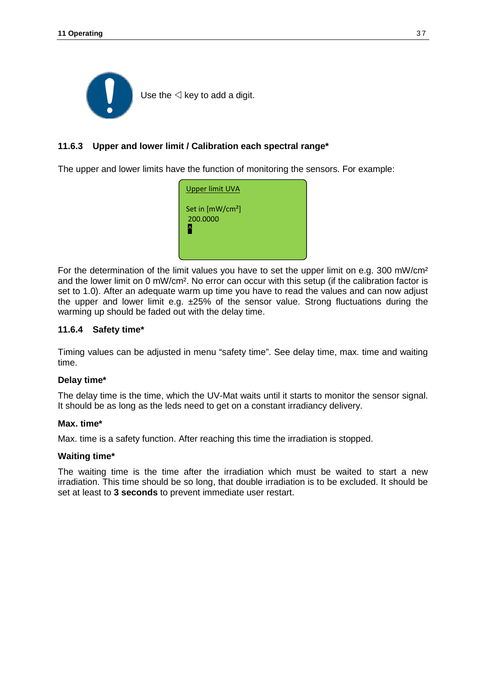

#### **11.6.3 Upper and lower limit / Calibration each spectral range\***

The upper and lower limits have the function of monitoring the sensors. For example:



For the determination of the limit values you have to set the upper limit on e.g. 300 mW/cm² and the lower limit on 0 mW/cm². No error can occur with this setup (if the calibration factor is set to 1.0). After an adequate warm up time you have to read the values and can now adjust the upper and lower limit e.g.  $\pm 25\%$  of the sensor value. Strong fluctuations during the warming up should be faded out with the delay time.

#### **11.6.4 Safety time\***

Timing values can be adjusted in menu "safety time". See delay time, max. time and waiting time.

#### **Delay time\***

The delay time is the time, which the UV-Mat waits until it starts to monitor the sensor signal. It should be as long as the leds need to get on a constant irradiancy delivery.

#### **Max. time\***

Max. time is a safety function. After reaching this time the irradiation is stopped.

#### **Waiting time\***

The waiting time is the time after the irradiation which must be waited to start a new irradiation. This time should be so long, that double irradiation is to be excluded. It should be set at least to **3 seconds** to prevent immediate user restart.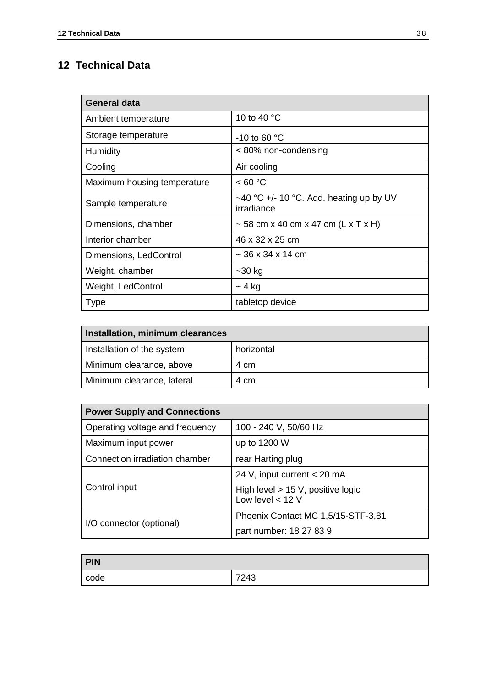# **12 Technical Data**

| <b>General data</b>         |                                                       |  |
|-----------------------------|-------------------------------------------------------|--|
| Ambient temperature         | 10 to 40 °C                                           |  |
| Storage temperature         | -10 to 60 $\degree$ C                                 |  |
| Humidity                    | < 80% non-condensing                                  |  |
| Cooling                     | Air cooling                                           |  |
| Maximum housing temperature | < 60 °C                                               |  |
| Sample temperature          | ~40 °C +/- 10 °C. Add. heating up by UV<br>irradiance |  |
| Dimensions, chamber         | $\sim$ 58 cm x 40 cm x 47 cm (L x T x H)              |  |
| Interior chamber            | 46 x 32 x 25 cm                                       |  |
| Dimensions, LedControl      | $\sim$ 36 x 34 x 14 cm                                |  |
| Weight, chamber             | $-30$ kg                                              |  |
| Weight, LedControl          | $~-$ 4 kg                                             |  |
| <b>Type</b>                 | tabletop device                                       |  |

| Installation, minimum clearances |            |  |
|----------------------------------|------------|--|
| Installation of the system       | horizontal |  |
| Minimum clearance, above         | 4 cm       |  |
| Minimum clearance, lateral       | 4 cm       |  |

| <b>Power Supply and Connections</b> |                                                           |  |
|-------------------------------------|-----------------------------------------------------------|--|
| Operating voltage and frequency     | 100 - 240 V, 50/60 Hz                                     |  |
| Maximum input power                 | up to 1200 W                                              |  |
| Connection irradiation chamber      | rear Harting plug                                         |  |
| Control input                       | 24 V, input current < 20 mA                               |  |
|                                     | High level $> 15$ V, positive logic<br>Low level $<$ 12 V |  |
| I/O connector (optional)            | Phoenix Contact MC 1,5/15-STF-3,81                        |  |
|                                     | part number: 18 27 83 9                                   |  |

| <b>PIN</b> |      |
|------------|------|
| code       | 7243 |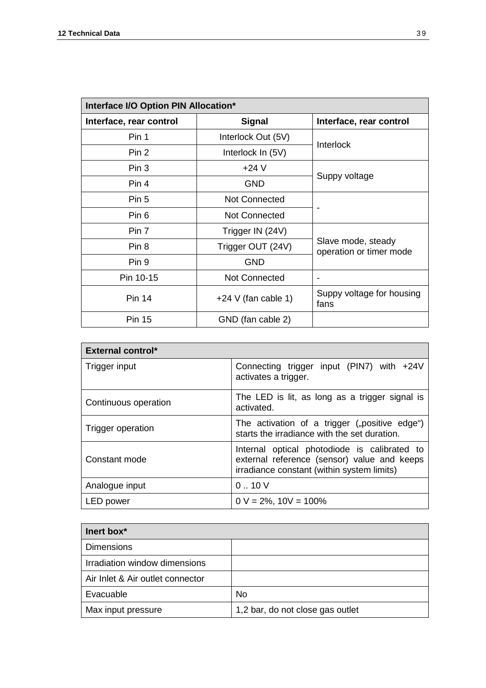| Interface I/O Option PIN Allocation* |                       |                                               |  |  |
|--------------------------------------|-----------------------|-----------------------------------------------|--|--|
| Interface, rear control              | <b>Signal</b>         | Interface, rear control                       |  |  |
| Pin 1                                | Interlock Out (5V)    | <b>Interlock</b>                              |  |  |
| Pin <sub>2</sub>                     | Interlock In (5V)     |                                               |  |  |
| Pin 3                                | $+24V$                |                                               |  |  |
| Pin <sub>4</sub>                     | <b>GND</b>            | Suppy voltage                                 |  |  |
| Pin 5                                | <b>Not Connected</b>  |                                               |  |  |
| Pin 6                                | <b>Not Connected</b>  |                                               |  |  |
| Pin 7                                | Trigger IN (24V)      |                                               |  |  |
| Pin <sub>8</sub>                     | Trigger OUT (24V)     | Slave mode, steady<br>operation or timer mode |  |  |
| Pin 9                                | <b>GND</b>            |                                               |  |  |
| Pin 10-15                            | <b>Not Connected</b>  |                                               |  |  |
| <b>Pin 14</b>                        | $+24$ V (fan cable 1) | Suppy voltage for housing<br>fans             |  |  |
| <b>Pin 15</b>                        | GND (fan cable 2)     |                                               |  |  |

| <b>External control*</b> |                                                                                                                                           |  |
|--------------------------|-------------------------------------------------------------------------------------------------------------------------------------------|--|
| Trigger input            | Connecting trigger input (PIN7) with $+24V$<br>activates a trigger.                                                                       |  |
| Continuous operation     | The LED is lit, as long as a trigger signal is<br>activated.                                                                              |  |
| Trigger operation        | The activation of a trigger ("positive edge")<br>starts the irradiance with the set duration.                                             |  |
| Constant mode            | Internal optical photodiode is calibrated to<br>external reference (sensor) value and keeps<br>irradiance constant (within system limits) |  |
| Analogue input           | 0.10V                                                                                                                                     |  |
| LED power                | $0 V = 2\%$ , $10V = 100\%$                                                                                                               |  |

| lnert box <sup>*</sup>           |                                  |  |
|----------------------------------|----------------------------------|--|
| <b>Dimensions</b>                |                                  |  |
| Irradiation window dimensions    |                                  |  |
| Air Inlet & Air outlet connector |                                  |  |
| Evacuable                        | No                               |  |
| Max input pressure               | 1,2 bar, do not close gas outlet |  |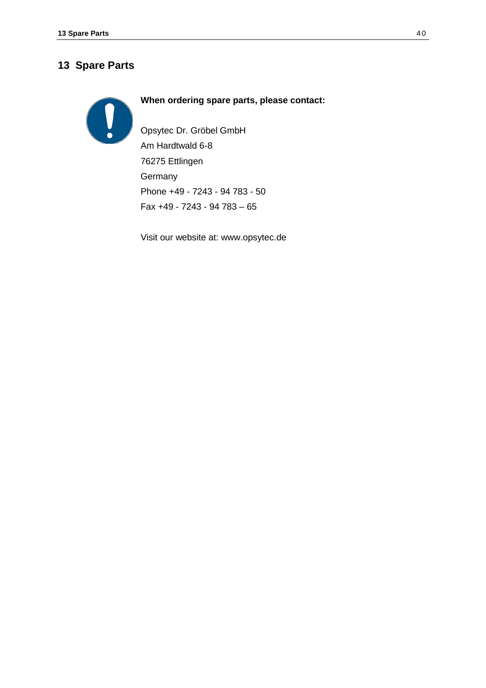## **13 Spare Parts**

## **When ordering spare parts, please contact:**

Opsytec Dr. Gröbel GmbH Am Hardtwald 6-8 76275 Ettlingen **Germany** Phone +49 - 7243 - 94 783 - 50 Fax +49 - 7243 - 94 783 – 65

Visit our website at: www.opsytec.de